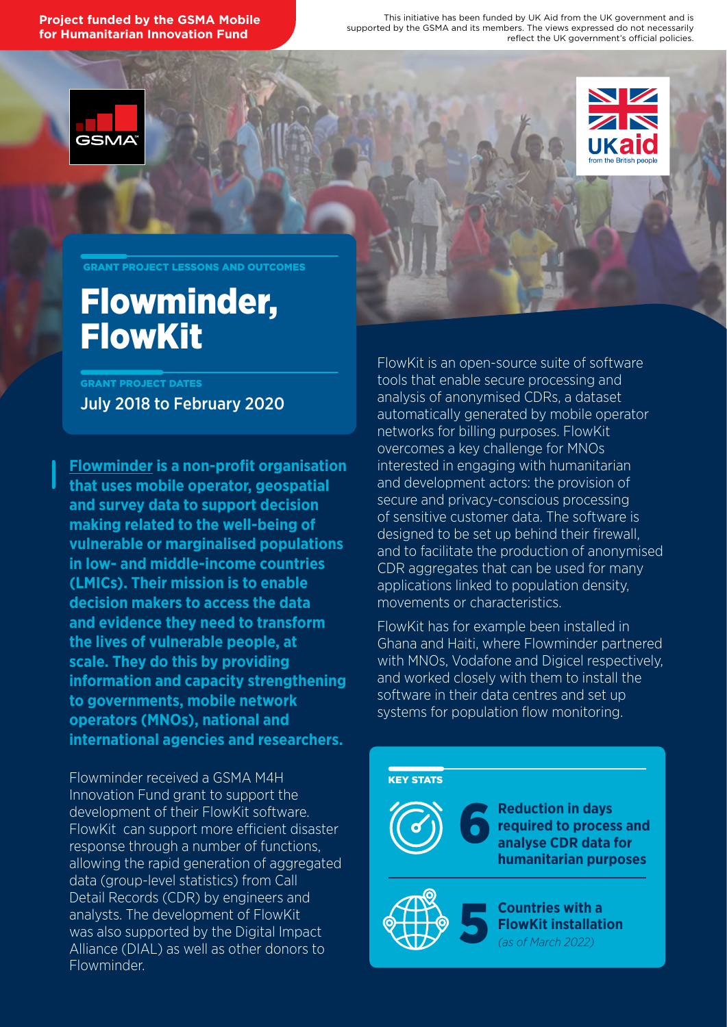**Project funded by the GSMA Mobile for Humanitarian Innovation Fund** 

This initiative has been funded by UK Aid from the UK government and is supported by the GSMA and its members. The views expressed do not necessarily reflect the UK government's official policies.





GRANT PROJECT LESSONS AND OUTCOMES

### Flowminder, FlowKit

July 2018 to February 2020 GRANT PROJECT DATES

**[Flowminder](https://flowminder.org) is a non-profit organisation that uses mobile operator, geospatial and survey data to support decision making related to the well-being of vulnerable or marginalised populations in low- and middle-income countries (LMICs). Their mission is to enable decision makers to access the data and evidence they need to transform the lives of vulnerable people, at scale. They do this by providing information and capacity strengthening to governments, mobile network operators (MNOs), national and international agencies and researchers.**

Flowminder received a GSMA M4H Innovation Fund grant to support the development of their FlowKit software. FlowKit can support more efficient disaster response through a number of functions, allowing the rapid generation of aggregated data (group-level statistics) from Call Detail Records (CDR) by engineers and analysts. The development of FlowKit was also supported by the Digital Impact Alliance (DIAL) as well as other donors to Flowminder.

FlowKit is an open-source suite of software tools that enable secure processing and analysis of anonymised CDRs, a dataset automatically generated by mobile operator networks for billing purposes. FlowKit overcomes a key challenge for MNOs interested in engaging with humanitarian and development actors: the provision of secure and privacy-conscious processing of sensitive customer data. The software is designed to be set up behind their firewall, and to facilitate the production of anonymised CDR aggregates that can be used for many applications linked to population density, movements or characteristics.

FlowKit has for example been installed in Ghana and Haiti, where Flowminder partnered with MNOs, Vodafone and Digicel respectively, and worked closely with them to install the software in their data centres and set up systems for population flow monitoring.

#### KEY STATS



**Reduction in days required to process and analyse CDR data for humanitarian purposes**



**Countries with a FlowKit installation** *(as of March 2022)*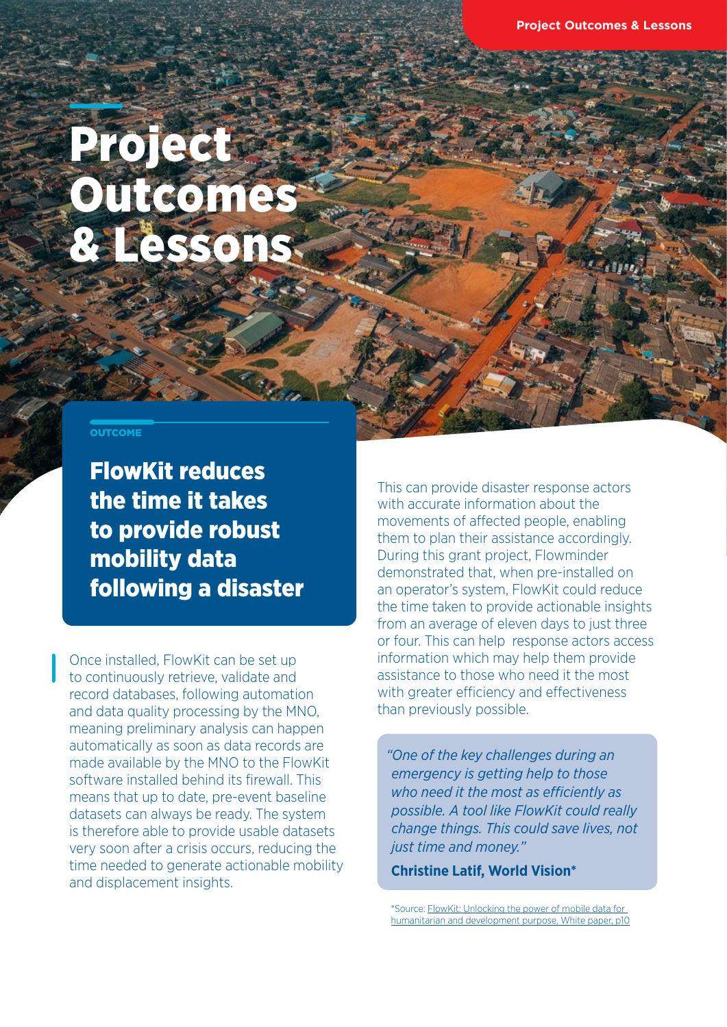# Project **Outcomes** & Lessons

### **OUTCOME**

FlowKit reduces the time it takes to provide robust mobility data following a disaster

Once installed, FlowKit can be set up to continuously retrieve, validate and record databases, following automation and data quality processing by the MNO, meaning preliminary analysis can happen automatically as soon as data records are made available by the MNO to the FlowKit software installed behind its firewall. This means that up to date, pre-event baseline datasets can always be ready. The system is therefore able to provide usable datasets very soon after a crisis occurs, reducing the time needed to generate actionable mobility and displacement insights.

This can provide disaster response actors with accurate information about the movements of affected people, enabling them to plan their assistance accordingly. During this grant project, Flowminder demonstrated that, when pre-installed on an operator's system, FlowKit could reduce the time taken to provide actionable insights from an average of eleven days to just three or four. This can help response actors access information which may help them provide assistance to those who need it the most with greater efficiency and effectiveness than previously possible.

*"One of the key challenges during an emergency is getting help to those who need it the most as efficiently as possible. A tool like FlowKit could really change things. This could save lives, not just time and money."* 

**Christine Latif, World Vision\***

\*Source: [FlowKit: Unlocking the power of mobile data for](https://www.flowminder.org/resources/publications/flowkit-unlocking-the-power-of-mobile-data-for-humanitarian-and-development-purposes)  [humanitarian and development purpose, White paper, p10](https://www.flowminder.org/resources/publications/flowkit-unlocking-the-power-of-mobile-data-for-humanitarian-and-development-purposes)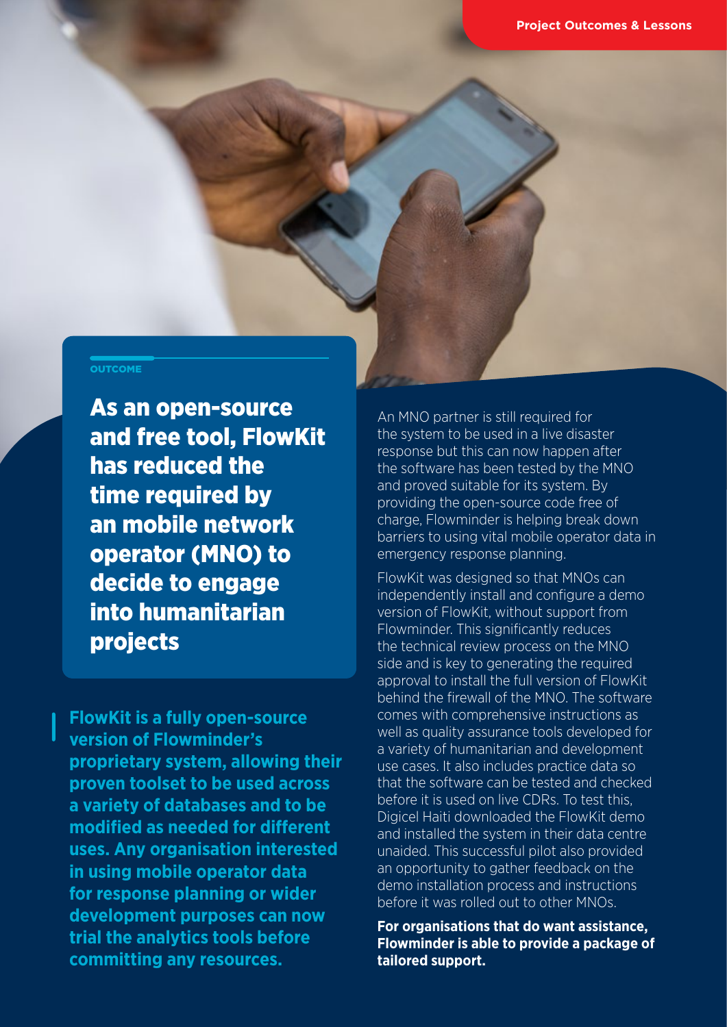#### **OUTCOME**

As an open-source and free tool, FlowKit has reduced the time required by an mobile network operator (MNO) to decide to engage into humanitarian projects

**FlowKit is a fully open-source version of Flowminder's proprietary system, allowing their proven toolset to be used across a variety of databases and to be modified as needed for different uses. Any organisation interested in using mobile operator data for response planning or wider development purposes can now trial the analytics tools before committing any resources.** 

An MNO partner is still required for the system to be used in a live disaster response but this can now happen after the software has been tested by the MNO and proved suitable for its system. By providing the open-source code free of charge, Flowminder is helping break down barriers to using vital mobile operator data in emergency response planning.

FlowKit was designed so that MNOs can independently install and configure a demo version of FlowKit, without support from Flowminder. This significantly reduces the technical review process on the MNO side and is key to generating the required approval to install the full version of FlowKit behind the firewall of the MNO. The software comes with comprehensive instructions as well as quality assurance tools developed for a variety of humanitarian and development use cases. It also includes practice data so that the software can be tested and checked before it is used on live CDRs. To test this, Digicel Haiti downloaded the FlowKit demo and installed the system in their data centre unaided. This successful pilot also provided an opportunity to gather feedback on the demo installation process and instructions before it was rolled out to other MNOs.

**For organisations that do want assistance, Flowminder is able to provide a package of tailored support.**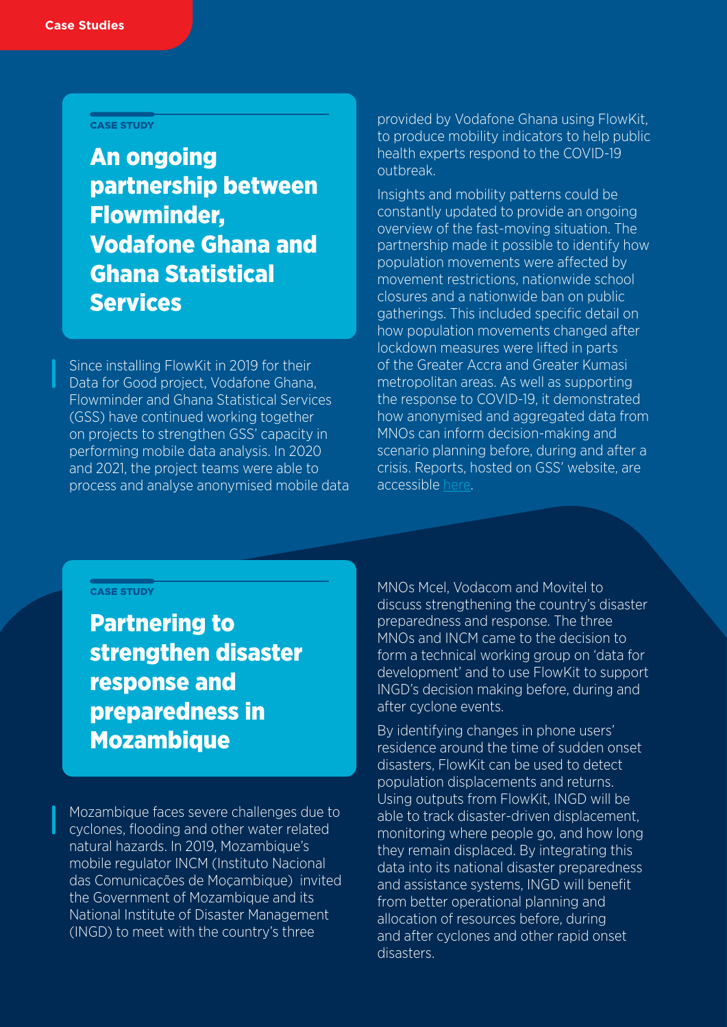### CASE STUDY

An ongoing partnership between Flowminder, Vodafone Ghana and Ghana Statistical **Services** 

Since installing FlowKit in 2019 for their Data for Good project, Vodafone Ghana, Flowminder and Ghana Statistical Services (GSS) have continued working together on projects to strengthen GSS' capacity in performing mobile data analysis. In 2020 and 2021, the project teams were able to process and analyse anonymised mobile data

provided by Vodafone Ghana using FlowKit, to produce mobility indicators to help public health experts respond to the COVID-19 outbreak.

Insights and mobility patterns could be constantly updated to provide an ongoing overview of the fast-moving situation. The partnership made it possible to identify how population movements were affected by movement restrictions, nationwide school closures and a nationwide ban on public gatherings. This included specific detail on how population movements changed after lockdown measures were lifted in parts of the Greater Accra and Greater Kumasi metropolitan areas. As well as supporting the response to COVID-19, it demonstrated how anonymised and aggregated data from MNOs can inform decision-making and scenario planning before, during and after a crisis. Reports, hosted on GSS' website, are accessible [here](https://statsghana.gov.gh/gsspublications.php?category=MTkwMDE4MjI2Ny4xMDg=/webstats/90r897632o).

### CASE STUDY

Partnering to strengthen disaster response and preparedness in Mozambique

Mozambique faces severe challenges due to cyclones, flooding and other water related natural hazards. In 2019, Mozambique's mobile regulator INCM (Instituto Nacional das Comunicações de Moçambique) invited the Government of Mozambique and its National Institute of Disaster Management (INGD) to meet with the country's three

MNOs Mcel, Vodacom and Movitel to discuss strengthening the country's disaster preparedness and response. The three MNOs and INCM came to the decision to form a technical working group on 'data for development' and to use FlowKit to support INGD's decision making before, during and after cyclone events.

By identifying changes in phone users' residence around the time of sudden onset disasters, FlowKit can be used to detect population displacements and returns. Using outputs from FlowKit, INGD will be able to track disaster-driven displacement, monitoring where people go, and how long they remain displaced. By integrating this data into its national disaster preparedness and assistance systems, INGD will benefit from better operational planning and allocation of resources before, during and after cyclones and other rapid onset disasters.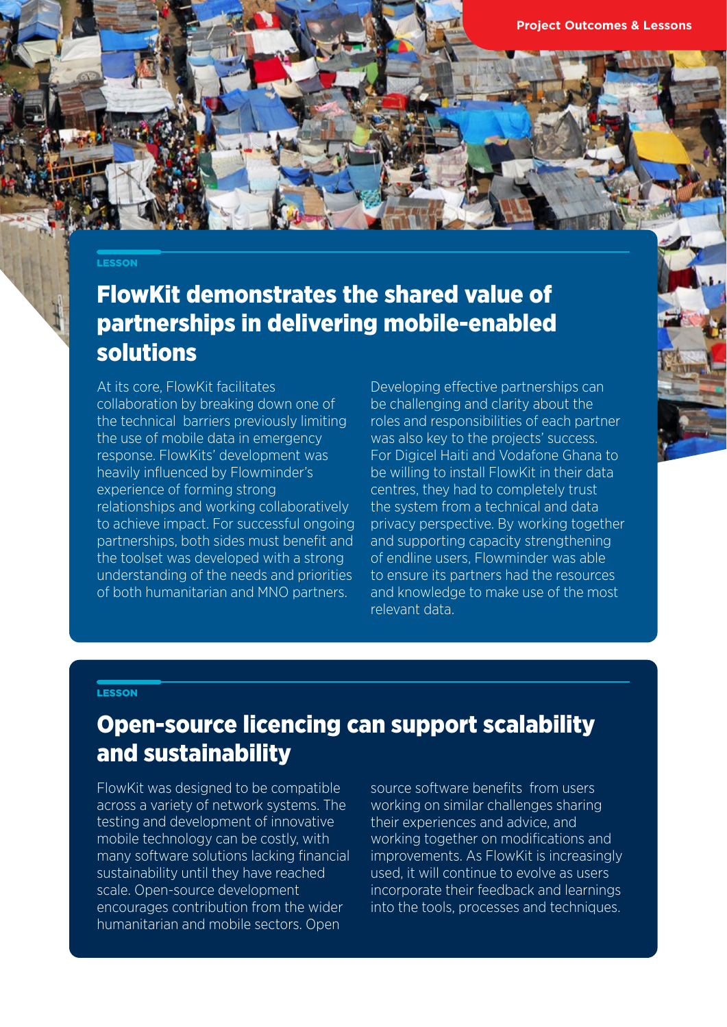### **LESSON**

### FlowKit demonstrates the shared value of partnerships in delivering mobile-enabled solutions

At its core, FlowKit facilitates collaboration by breaking down one of the technical barriers previously limiting the use of mobile data in emergency response. FlowKits' development was heavily influenced by Flowminder's experience of forming strong relationships and working collaboratively to achieve impact. For successful ongoing partnerships, both sides must benefit and the toolset was developed with a strong understanding of the needs and priorities of both humanitarian and MNO partners.

Developing effective partnerships can be challenging and clarity about the roles and responsibilities of each partner was also key to the projects' success. For Digicel Haiti and Vodafone Ghana to be willing to install FlowKit in their data centres, they had to completely trust the system from a technical and data privacy perspective. By working together and supporting capacity strengthening of endline users, Flowminder was able to ensure its partners had the resources and knowledge to make use of the most relevant data.

### **LESSON**

### Open-source licencing can support scalability and sustainability

FlowKit was designed to be compatible across a variety of network systems. The testing and development of innovative mobile technology can be costly, with many software solutions lacking financial sustainability until they have reached scale. Open-source development encourages contribution from the wider humanitarian and mobile sectors. Open

source software benefits from users working on similar challenges sharing their experiences and advice, and working together on modifications and improvements. As FlowKit is increasingly used, it will continue to evolve as users incorporate their feedback and learnings into the tools, processes and techniques.